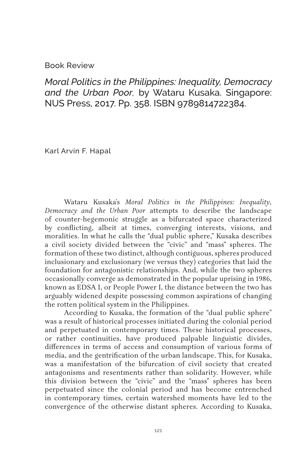## Book Review

*Moral Politics in the Philippines: Inequality, Democracy and the Urban Poor,* by Wataru Kusaka. Singapore: NUS Press, 2017. Pp. 358. ISBN 9789814722384.

Karl Arvin F. Hapal

Wataru Kusaka's *Moral Politics in the Philippines: Inequality, Democracy and the Urban Poor* attempts to describe the landscape of counter-hegemonic struggle as a bifurcated space characterized by conflicting, albeit at times, converging interests, visions, and moralities. In what he calls the "dual public sphere," Kusaka describes a civil society divided between the "civic" and "mass" spheres. The formation of these two distinct, although contiguous, spheres produced inclusionary and exclusionary (we versus they) categories that laid the foundation for antagonistic relationships. And, while the two spheres occasionally converge as demonstrated in the popular uprising in 1986, known as EDSA I, or People Power I, the distance between the two has arguably widened despite possessing common aspirations of changing the rotten political system in the Philippines.

According to Kusaka, the formation of the "dual public sphere" was a result of historical processes initiated during the colonial period and perpetuated in contemporary times. These historical processes, or rather continuities, have produced palpable linguistic divides, differences in terms of access and consumption of various forms of media, and the gentrification of the urban landscape. This, for Kusaka, was a manifestation of the bifurcation of civil society that created antagonisms and resentments rather than solidarity. However, while this division between the "civic" and the "mass" spheres has been perpetuated since the colonial period and has become entrenched in contemporary times, certain watershed moments have led to the convergence of the otherwise distant spheres. According to Kusaka,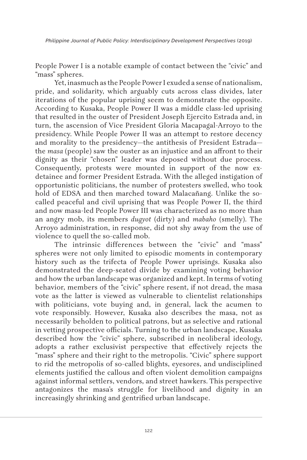*Philippine Journal of Public Policy: Interdisciplinary Development Perspectives* (2019)

People Power I is a notable example of contact between the "civic" and "mass" spheres.

Yet, inasmuch as the People Power I exuded a sense of nationalism, pride, and solidarity, which arguably cuts across class divides, later iterations of the popular uprising seem to demonstrate the opposite. According to Kusaka, People Power II was a middle class-led uprising that resulted in the ouster of President Joseph Ejercito Estrada and, in turn, the ascension of Vice President Gloria Macapagal-Arroyo to the presidency. While People Power II was an attempt to restore decency and morality to the presidency—the antithesis of President Estrada the *masa* (people) saw the ouster as an injustice and an affront to their dignity as their "chosen" leader was deposed without due process. Consequently, protests were mounted in support of the now exdetainee and former President Estrada. With the alleged instigation of opportunistic politicians, the number of protesters swelled, who took hold of EDSA and then marched toward Malacañang. Unlike the socalled peaceful and civil uprising that was People Power II, the third and now masa-led People Power III was characterized as no more than an angry mob, its members *dugyot* (dirty) and *mabaho* (smelly). The Arroyo administration, in response, did not shy away from the use of violence to quell the so-called mob.

The intrinsic differences between the "civic" and "mass" spheres were not only limited to episodic moments in contemporary history such as the trifecta of People Power uprisings. Kusaka also demonstrated the deep-seated divide by examining voting behavior and how the urban landscape was organized and kept. In terms of voting behavior, members of the "civic" sphere resent, if not dread, the masa vote as the latter is viewed as vulnerable to clientelist relationships with politicians, vote buying and, in general, lack the acumen to vote responsibly. However, Kusaka also describes the masa, not as necessarily beholden to political patrons, but as selective and rational in vetting prospective officials. Turning to the urban landscape, Kusaka described how the "civic" sphere, subscribed in neoliberal ideology, adopts a rather exclusivist perspective that effectively rejects the "mass" sphere and their right to the metropolis. "Civic" sphere support to rid the metropolis of so-called blights, eyesores, and undisciplined elements justified the callous and often violent demolition campaigns against informal settlers, vendors, and street hawkers. This perspective antagonizes the masa's struggle for livelihood and dignity in an increasingly shrinking and gentrified urban landscape.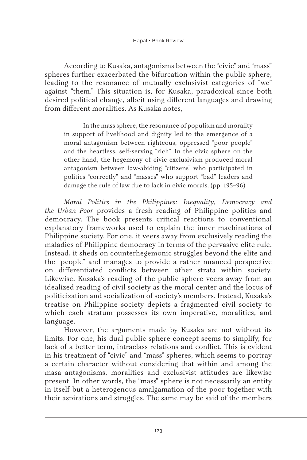According to Kusaka, antagonisms between the "civic" and "mass" spheres further exacerbated the bifurcation within the public sphere, leading to the resonance of mutually exclusivist categories of "we" against "them." This situation is, for Kusaka, paradoxical since both desired political change, albeit using different languages and drawing from different moralities. As Kusaka notes,

In the mass sphere, the resonance of populism and morality in support of livelihood and dignity led to the emergence of a moral antagonism between righteous, oppressed "poor people" and the heartless, self-serving "rich". In the civic sphere on the other hand, the hegemony of civic exclusivism produced moral antagonism between law-abiding "citizens" who participated in politics "correctly" and "masses" who support "bad" leaders and damage the rule of law due to lack in civic morals. (pp. 195–96)

*Moral Politics in the Philippines: Inequality, Democracy and the Urban Poor* provides a fresh reading of Philippine politics and democracy. The book presents critical reactions to conventional explanatory frameworks used to explain the inner machinations of Philippine society. For one, it veers away from exclusively reading the maladies of Philippine democracy in terms of the pervasive elite rule. Instead, it sheds on counterhegemonic struggles beyond the elite and the "people" and manages to provide a rather nuanced perspective on differentiated conflicts between other strata within society. Likewise, Kusaka's reading of the public sphere veers away from an idealized reading of civil society as the moral center and the locus of politicization and socialization of society's members. Instead, Kusaka's treatise on Philippine society depicts a fragmented civil society to which each stratum possesses its own imperative, moralities, and language.

However, the arguments made by Kusaka are not without its limits. For one, his dual public sphere concept seems to simplify, for lack of a better term, intraclass relations and conflict. This is evident in his treatment of "civic" and "mass" spheres, which seems to portray a certain character without considering that within and among the masa antagonisms, moralities and exclusivist attitudes are likewise present. In other words, the "mass" sphere is not necessarily an entity in itself but a heterogenous amalgamation of the poor together with their aspirations and struggles. The same may be said of the members